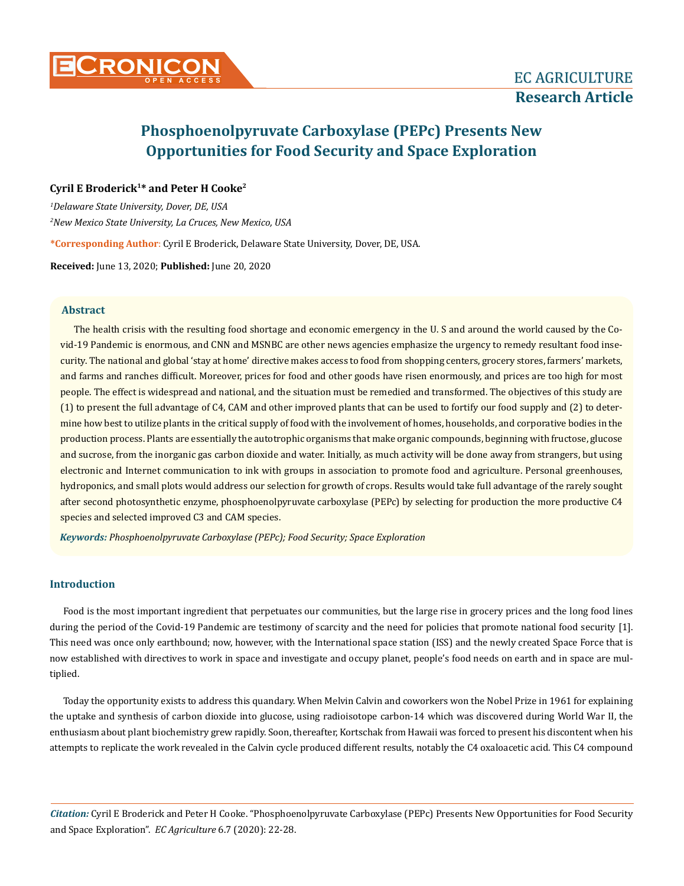

## **Cyril E Broderick1\* and Peter H Cooke2**

*1 Delaware State University, Dover, DE, USA 2 New Mexico State University, La Cruces, New Mexico, USA* 

**\*Corresponding Author**: Cyril E Broderick, Delaware State University, Dover, DE, USA.

**Received:** June 13, 2020; **Published:** June 20, 2020

## **Abstract**

The health crisis with the resulting food shortage and economic emergency in the U. S and around the world caused by the Covid-19 Pandemic is enormous, and CNN and MSNBC are other news agencies emphasize the urgency to remedy resultant food insecurity. The national and global 'stay at home' directive makes access to food from shopping centers, grocery stores, farmers' markets, and farms and ranches difficult. Moreover, prices for food and other goods have risen enormously, and prices are too high for most people. The effect is widespread and national, and the situation must be remedied and transformed. The objectives of this study are (1) to present the full advantage of C4, CAM and other improved plants that can be used to fortify our food supply and (2) to determine how best to utilize plants in the critical supply of food with the involvement of homes, households, and corporative bodies in the production process. Plants are essentially the autotrophic organisms that make organic compounds, beginning with fructose, glucose and sucrose, from the inorganic gas carbon dioxide and water. Initially, as much activity will be done away from strangers, but using electronic and Internet communication to ink with groups in association to promote food and agriculture. Personal greenhouses, hydroponics, and small plots would address our selection for growth of crops. Results would take full advantage of the rarely sought after second photosynthetic enzyme, phosphoenolpyruvate carboxylase (PEPc) by selecting for production the more productive C4 species and selected improved C3 and CAM species.

*Keywords: Phosphoenolpyruvate Carboxylase (PEPc); Food Security; Space Exploration*

## **Introduction**

Food is the most important ingredient that perpetuates our communities, but the large rise in grocery prices and the long food lines during the period of the Covid-19 Pandemic are testimony of scarcity and the need for policies that promote national food security [1]. This need was once only earthbound; now, however, with the International space station (ISS) and the newly created Space Force that is now established with directives to work in space and investigate and occupy planet, people's food needs on earth and in space are multiplied.

Today the opportunity exists to address this quandary. When Melvin Calvin and coworkers won the Nobel Prize in 1961 for explaining the uptake and synthesis of carbon dioxide into glucose, using radioisotope carbon-14 which was discovered during World War II, the enthusiasm about plant biochemistry grew rapidly. Soon, thereafter, Kortschak from Hawaii was forced to present his discontent when his attempts to replicate the work revealed in the Calvin cycle produced different results, notably the C4 oxaloacetic acid. This C4 compound

*Citation:* Cyril E Broderick and Peter H Cooke. "Phosphoenolpyruvate Carboxylase (PEPc) Presents New Opportunities for Food Security and Space Exploration". *EC Agriculture* 6.7 (2020): 22-28.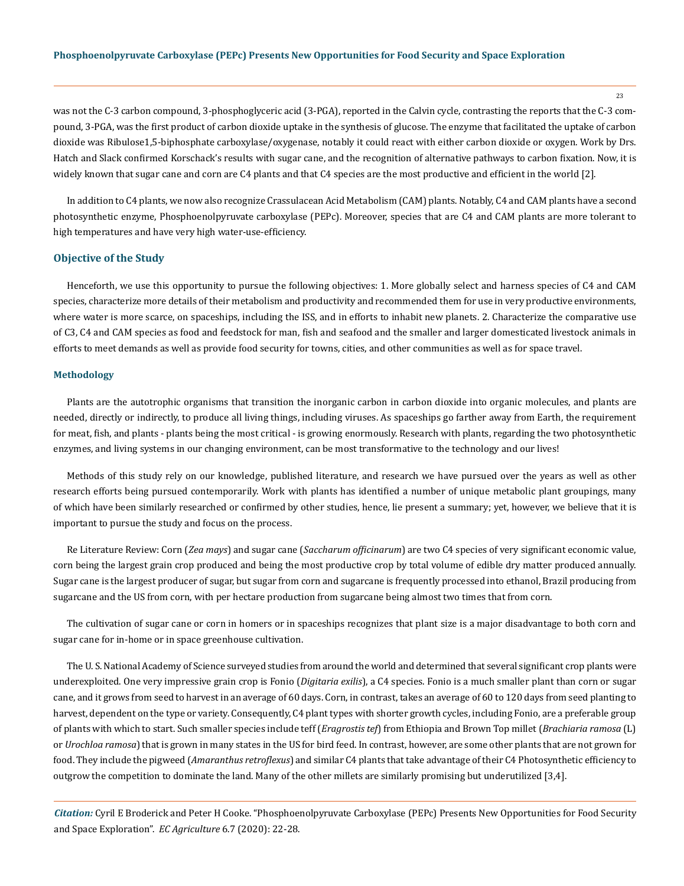was not the C-3 carbon compound, 3-phosphoglyceric acid (3-PGA), reported in the Calvin cycle, contrasting the reports that the C-3 compound, 3-PGA, was the first product of carbon dioxide uptake in the synthesis of glucose. The enzyme that facilitated the uptake of carbon dioxide was Ribulose1,5-biphosphate carboxylase/oxygenase, notably it could react with either carbon dioxide or oxygen. Work by Drs. Hatch and Slack confirmed Korschack's results with sugar cane, and the recognition of alternative pathways to carbon fixation. Now, it is widely known that sugar cane and corn are C4 plants and that C4 species are the most productive and efficient in the world [2].

In addition to C4 plants, we now also recognize Crassulacean Acid Metabolism (CAM) plants. Notably, C4 and CAM plants have a second photosynthetic enzyme, Phosphoenolpyruvate carboxylase (PEPc). Moreover, species that are C4 and CAM plants are more tolerant to high temperatures and have very high water-use-efficiency.

## **Objective of the Study**

Henceforth, we use this opportunity to pursue the following objectives: 1. More globally select and harness species of C4 and CAM species, characterize more details of their metabolism and productivity and recommended them for use in very productive environments, where water is more scarce, on spaceships, including the ISS, and in efforts to inhabit new planets. 2. Characterize the comparative use of C3, C4 and CAM species as food and feedstock for man, fish and seafood and the smaller and larger domesticated livestock animals in efforts to meet demands as well as provide food security for towns, cities, and other communities as well as for space travel.

#### **Methodology**

Plants are the autotrophic organisms that transition the inorganic carbon in carbon dioxide into organic molecules, and plants are needed, directly or indirectly, to produce all living things, including viruses. As spaceships go farther away from Earth, the requirement for meat, fish, and plants - plants being the most critical - is growing enormously. Research with plants, regarding the two photosynthetic enzymes, and living systems in our changing environment, can be most transformative to the technology and our lives!

Methods of this study rely on our knowledge, published literature, and research we have pursued over the years as well as other research efforts being pursued contemporarily. Work with plants has identified a number of unique metabolic plant groupings, many of which have been similarly researched or confirmed by other studies, hence, lie present a summary; yet, however, we believe that it is important to pursue the study and focus on the process.

Re Literature Review: Corn (*Zea mays*) and sugar cane (*Saccharum officinarum*) are two C4 species of very significant economic value, corn being the largest grain crop produced and being the most productive crop by total volume of edible dry matter produced annually. Sugar cane is the largest producer of sugar, but sugar from corn and sugarcane is frequently processed into ethanol, Brazil producing from sugarcane and the US from corn, with per hectare production from sugarcane being almost two times that from corn.

The cultivation of sugar cane or corn in homers or in spaceships recognizes that plant size is a major disadvantage to both corn and sugar cane for in-home or in space greenhouse cultivation.

The U. S. National Academy of Science surveyed studies from around the world and determined that several significant crop plants were underexploited. One very impressive grain crop is Fonio (*Digitaria exilis*), a C4 species. Fonio is a much smaller plant than corn or sugar cane, and it grows from seed to harvest in an average of 60 days. Corn, in contrast, takes an average of 60 to 120 days from seed planting to harvest, dependent on the type or variety. Consequently, C4 plant types with shorter growth cycles, including Fonio, are a preferable group of plants with which to start. Such smaller species include teff (*Eragrostis tef*) from Ethiopia and Brown Top millet (*Brachiaria ramosa* (L) or *Urochloa ramosa*) that is grown in many states in the US for bird feed. In contrast, however, are some other plants that are not grown for food. They include the pigweed (*Amaranthus retroflexus*) and similar C4 plants that take advantage of their C4 Photosynthetic efficiency to outgrow the competition to dominate the land. Many of the other millets are similarly promising but underutilized [3,4].

*Citation:* Cyril E Broderick and Peter H Cooke. "Phosphoenolpyruvate Carboxylase (PEPc) Presents New Opportunities for Food Security and Space Exploration". *EC Agriculture* 6.7 (2020): 22-28.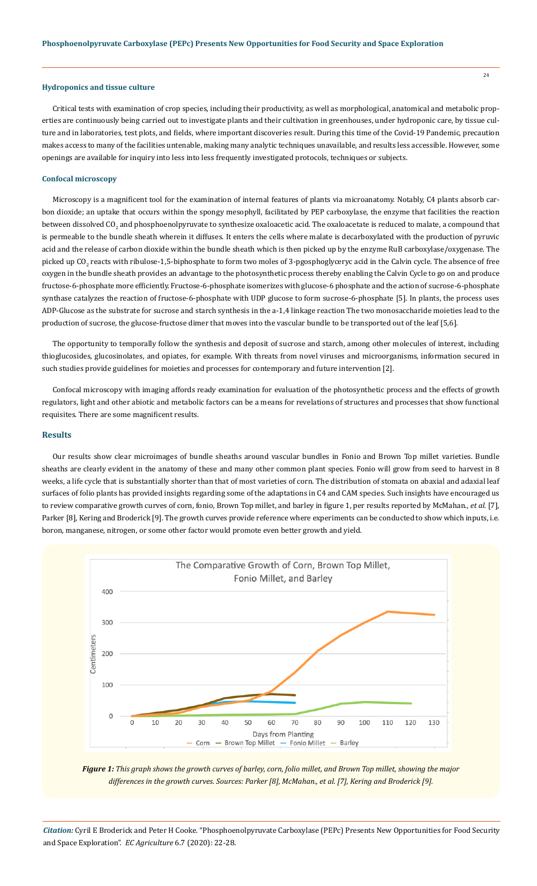## **Hydroponics and tissue culture**

Critical tests with examination of crop species, including their productivity, as well as morphological, anatomical and metabolic properties are continuously being carried out to investigate plants and their cultivation in greenhouses, under hydroponic care, by tissue culture and in laboratories, test plots, and fields, where important discoveries result. During this time of the Covid-19 Pandemic, precaution makes access to many of the facilities untenable, making many analytic techniques unavailable, and results less accessible. However, some openings are available for inquiry into less into less frequently investigated protocols, techniques or subjects.

#### **Confocal microscopy**

Microscopy is a magnificent tool for the examination of internal features of plants via microanatomy. Notably, C4 plants absorb carbon dioxide; an uptake that occurs within the spongy mesophyll, facilitated by PEP carboxylase, the enzyme that facilities the reaction between dissolved CO<sub>2</sub> and phosphoenolpyruvate to synthesize oxaloacetic acid. The oxaloacetate is reduced to malate, a compound that is permeable to the bundle sheath wherein it diffuses. It enters the cells where malate is decarboxylated with the production of pyruvic acid and the release of carbon dioxide within the bundle sheath which is then picked up by the enzyme RuB carboxylase/oxygenase. The picked up CO<sub>2</sub> reacts with ribulose-1,5-biphosphate to form two moles of 3-pgosphoglyceryc acid in the Calvin cycle. The absence of free oxygen in the bundle sheath provides an advantage to the photosynthetic process thereby enabling the Calvin Cycle to go on and produce fructose-6-phosphate more efficiently. Fructose-6-phosphate isomerizes with glucose-6 phosphate and the action of sucrose-6-phosphate synthase catalyzes the reaction of fructose-6-phosphate with UDP glucose to form sucrose-6-phosphate [5]. In plants, the process uses ADP-Glucose as the substrate for sucrose and starch synthesis in the a-1,4 linkage reaction The two monosaccharide moieties lead to the production of sucrose, the glucose-fructose dimer that moves into the vascular bundle to be transported out of the leaf [5,6].

The opportunity to temporally follow the synthesis and deposit of sucrose and starch, among other molecules of interest, including thioglucosides, glucosinolates, and opiates, for example. With threats from novel viruses and microorganisms, information secured in such studies provide guidelines for moieties and processes for contemporary and future intervention [2].

Confocal microscopy with imaging affords ready examination for evaluation of the photosynthetic process and the effects of growth regulators, light and other abiotic and metabolic factors can be a means for revelations of structures and processes that show functional requisites. There are some magnificent results.

## **Results**

Our results show clear microimages of bundle sheaths around vascular bundles in Fonio and Brown Top millet varieties. Bundle sheaths are clearly evident in the anatomy of these and many other common plant species. Fonio will grow from seed to harvest in 8 weeks, a life cycle that is substantially shorter than that of most varieties of corn. The distribution of stomata on abaxial and adaxial leaf surfaces of folio plants has provided insights regarding some of the adaptations in C4 and CAM species. Such insights have encouraged us to review comparative growth curves of corn, fonio, Brown Top millet, and barley in figure 1, per results reported by McMahan., *et al.* [7], Parker [8], Kering and Broderick [9]. The growth curves provide reference where experiments can be conducted to show which inputs, i.e. boron, manganese, nitrogen, or some other factor would promote even better growth and yield.



*Figure 1: This graph shows the growth curves of barley, corn, folio millet, and Brown Top millet, showing the major differences in the growth curves. Sources: Parker [8], McMahan., et al. [7], Kering and Broderick [9].*

*Citation:* Cyril E Broderick and Peter H Cooke. "Phosphoenolpyruvate Carboxylase (PEPc) Presents New Opportunities for Food Security and Space Exploration". *EC Agriculture* 6.7 (2020): 22-28.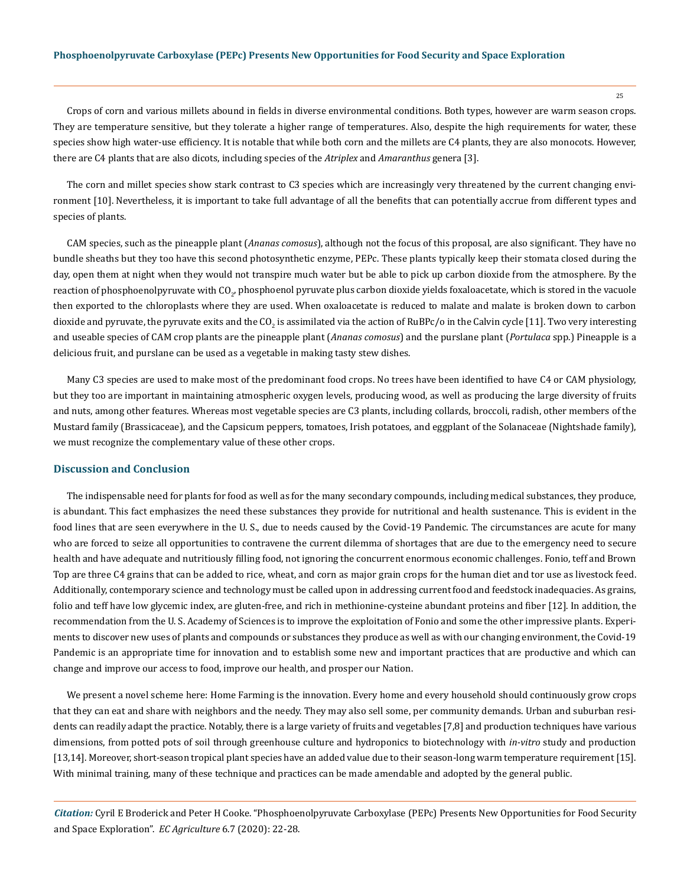Crops of corn and various millets abound in fields in diverse environmental conditions. Both types, however are warm season crops. They are temperature sensitive, but they tolerate a higher range of temperatures. Also, despite the high requirements for water, these species show high water-use efficiency. It is notable that while both corn and the millets are C4 plants, they are also monocots. However, there are C4 plants that are also dicots, including species of the *Atriplex* and *Amaranthus* genera [3].

The corn and millet species show stark contrast to C3 species which are increasingly very threatened by the current changing environment [10]. Nevertheless, it is important to take full advantage of all the benefits that can potentially accrue from different types and species of plants.

CAM species, such as the pineapple plant (*Ananas comosus*), although not the focus of this proposal, are also significant. They have no bundle sheaths but they too have this second photosynthetic enzyme, PEPc. These plants typically keep their stomata closed during the day, open them at night when they would not transpire much water but be able to pick up carbon dioxide from the atmosphere. By the reaction of phosphoenolpyruvate with CO<sub>2</sub>, phosphoenol pyruvate plus carbon dioxide yields foxaloacetate, which is stored in the vacuole then exported to the chloroplasts where they are used. When oxaloacetate is reduced to malate and malate is broken down to carbon dioxide and pyruvate, the pyruvate exits and the CO<sub>2</sub> is assimilated via the action of RuBPc/o in the Calvin cycle [11]. Two very interesting and useable species of CAM crop plants are the pineapple plant (*Ananas comosus*) and the purslane plant (*Portulaca* spp.) Pineapple is a delicious fruit, and purslane can be used as a vegetable in making tasty stew dishes.

Many C3 species are used to make most of the predominant food crops. No trees have been identified to have C4 or CAM physiology, but they too are important in maintaining atmospheric oxygen levels, producing wood, as well as producing the large diversity of fruits and nuts, among other features. Whereas most vegetable species are C3 plants, including collards, broccoli, radish, other members of the Mustard family (Brassicaceae), and the Capsicum peppers, tomatoes, Irish potatoes, and eggplant of the Solanaceae (Nightshade family), we must recognize the complementary value of these other crops.

#### **Discussion and Conclusion**

The indispensable need for plants for food as well as for the many secondary compounds, including medical substances, they produce, is abundant. This fact emphasizes the need these substances they provide for nutritional and health sustenance. This is evident in the food lines that are seen everywhere in the U. S., due to needs caused by the Covid-19 Pandemic. The circumstances are acute for many who are forced to seize all opportunities to contravene the current dilemma of shortages that are due to the emergency need to secure health and have adequate and nutritiously filling food, not ignoring the concurrent enormous economic challenges. Fonio, teff and Brown Top are three C4 grains that can be added to rice, wheat, and corn as major grain crops for the human diet and tor use as livestock feed. Additionally, contemporary science and technology must be called upon in addressing current food and feedstock inadequacies. As grains, folio and teff have low glycemic index, are gluten-free, and rich in methionine-cysteine abundant proteins and fiber [12]. In addition, the recommendation from the U. S. Academy of Sciences is to improve the exploitation of Fonio and some the other impressive plants. Experiments to discover new uses of plants and compounds or substances they produce as well as with our changing environment, the Covid-19 Pandemic is an appropriate time for innovation and to establish some new and important practices that are productive and which can change and improve our access to food, improve our health, and prosper our Nation.

We present a novel scheme here: Home Farming is the innovation. Every home and every household should continuously grow crops that they can eat and share with neighbors and the needy. They may also sell some, per community demands. Urban and suburban residents can readily adapt the practice. Notably, there is a large variety of fruits and vegetables [7,8] and production techniques have various dimensions, from potted pots of soil through greenhouse culture and hydroponics to biotechnology with *in-vitro* study and production [13,14]. Moreover, short-season tropical plant species have an added value due to their season-long warm temperature requirement [15]. With minimal training, many of these technique and practices can be made amendable and adopted by the general public.

*Citation:* Cyril E Broderick and Peter H Cooke. "Phosphoenolpyruvate Carboxylase (PEPc) Presents New Opportunities for Food Security and Space Exploration". *EC Agriculture* 6.7 (2020): 22-28.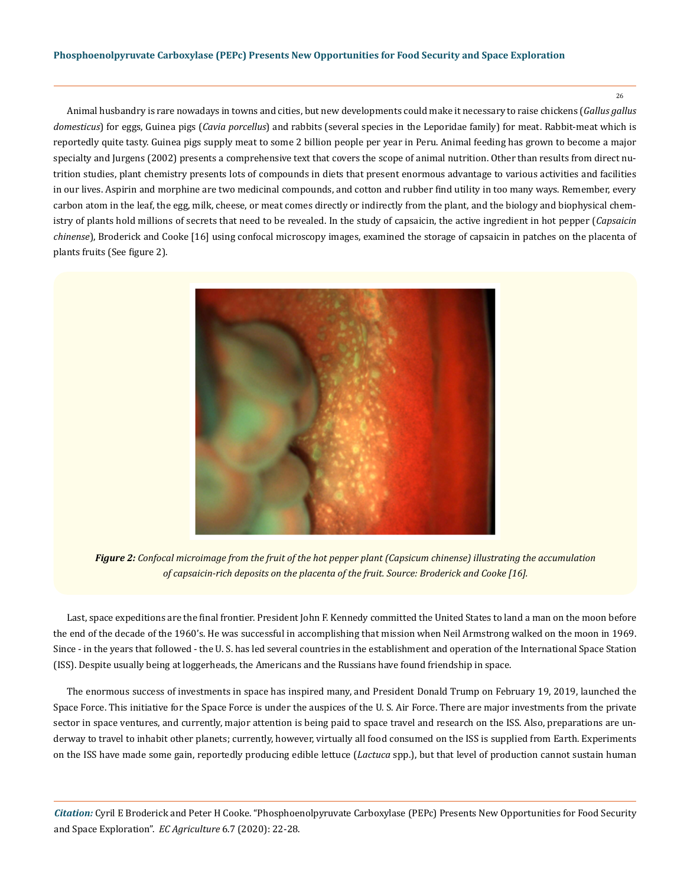26

Animal husbandry is rare nowadays in towns and cities, but new developments could make it necessary to raise chickens (*Gallus gallus domesticus*) for eggs, Guinea pigs (*Cavia porcellus*) and rabbits (several species in the Leporidae family) for meat. Rabbit-meat which is reportedly quite tasty. Guinea pigs supply meat to some 2 billion people per year in Peru. Animal feeding has grown to become a major specialty and Jurgens (2002) presents a comprehensive text that covers the scope of animal nutrition. Other than results from direct nutrition studies, plant chemistry presents lots of compounds in diets that present enormous advantage to various activities and facilities in our lives. Aspirin and morphine are two medicinal compounds, and cotton and rubber find utility in too many ways. Remember, every carbon atom in the leaf, the egg, milk, cheese, or meat comes directly or indirectly from the plant, and the biology and biophysical chemistry of plants hold millions of secrets that need to be revealed. In the study of capsaicin, the active ingredient in hot pepper (*Capsaicin chinense*), Broderick and Cooke [16] using confocal microscopy images, examined the storage of capsaicin in patches on the placenta of plants fruits (See figure 2).



*Figure 2: Confocal microimage from the fruit of the hot pepper plant (Capsicum chinense) illustrating the accumulation of capsaicin-rich deposits on the placenta of the fruit. Source: Broderick and Cooke [16].*

Last, space expeditions are the final frontier. President John F. Kennedy committed the United States to land a man on the moon before the end of the decade of the 1960's. He was successful in accomplishing that mission when Neil Armstrong walked on the moon in 1969. Since - in the years that followed - the U. S. has led several countries in the establishment and operation of the International Space Station (ISS). Despite usually being at loggerheads, the Americans and the Russians have found friendship in space.

The enormous success of investments in space has inspired many, and President Donald Trump on February 19, 2019, launched the Space Force. This initiative for the Space Force is under the auspices of the U. S. Air Force. There are major investments from the private sector in space ventures, and currently, major attention is being paid to space travel and research on the ISS. Also, preparations are underway to travel to inhabit other planets; currently, however, virtually all food consumed on the ISS is supplied from Earth. Experiments on the ISS have made some gain, reportedly producing edible lettuce (*Lactuca* spp.), but that level of production cannot sustain human

*Citation:* Cyril E Broderick and Peter H Cooke. "Phosphoenolpyruvate Carboxylase (PEPc) Presents New Opportunities for Food Security and Space Exploration". *EC Agriculture* 6.7 (2020): 22-28.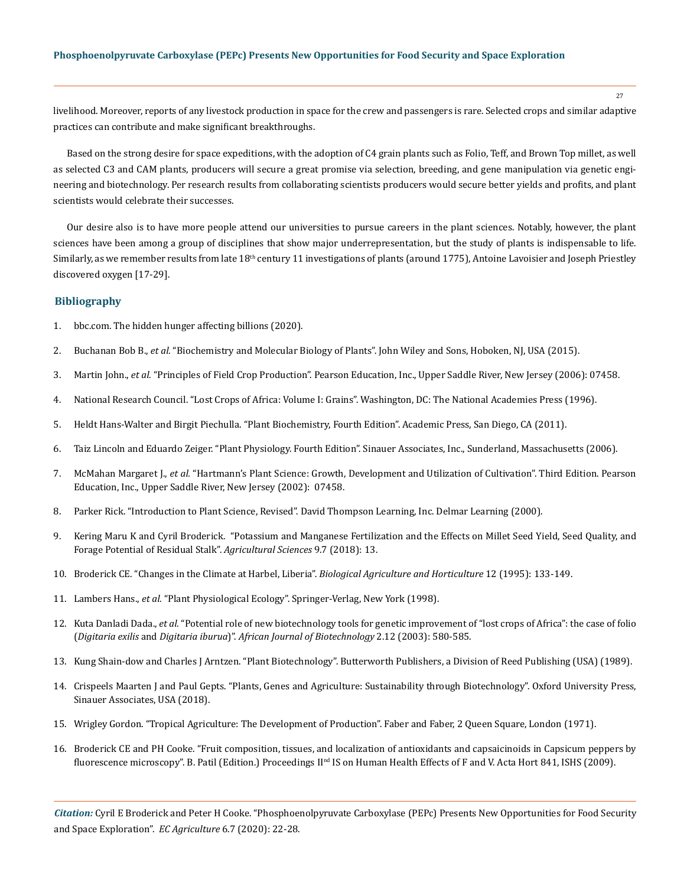livelihood. Moreover, reports of any livestock production in space for the crew and passengers is rare. Selected crops and similar adaptive practices can contribute and make significant breakthroughs.

Based on the strong desire for space expeditions, with the adoption of C4 grain plants such as Folio, Teff, and Brown Top millet, as well as selected C3 and CAM plants, producers will secure a great promise via selection, breeding, and gene manipulation via genetic engineering and biotechnology. Per research results from collaborating scientists producers would secure better yields and profits, and plant scientists would celebrate their successes.

Our desire also is to have more people attend our universities to pursue careers in the plant sciences. Notably, however, the plant sciences have been among a group of disciplines that show major underrepresentation, but the study of plants is indispensable to life. Similarly, as we remember results from late 18<sup>th</sup> century 11 investigations of plants (around 1775), Antoine Lavoisier and Joseph Priestley discovered oxygen [17-29].

## **Bibliography**

- 1. [bbc.com. The hidden hunger affecting billions \(2020\).](https://www.bbc.com/reel/video/p07fpr6l/the-hidden-hunger-affecting-billions)
- 2. Buchanan Bob B., *et al.* "Biochemistry and Molecular Biology of Plants". John Wiley and Sons, Hoboken, NJ, USA (2015).
- 3. Martin John., *et al.* ["Principles of Field Crop Production". Pearson Education, Inc., Upper Saddle River, New Jersey \(2006\): 07458.](https://www.pearson.ch/HigherEducation/Pearson/EAN/9780130259677/Principles-of-Field-Crop-Production)
- 4. National Research Council. "Lost Crops of Africa: Volume I: Grains". Washington, DC: The National Academies Press (1996).
- 5. Heldt Hans-Walter and Birgit Piechulla. "Plant Biochemistry, Fourth Edition". Academic Press, San Diego, CA (2011).
- 6. Taiz Lincoln and Eduardo Zeiger. "Plant Physiology. Fourth Edition". Sinauer Associates, Inc., Sunderland, Massachusetts (2006).
- 7. McMahan Margaret J., *et al.* "Hartmann's Plant Science: Growth, Development and Utilization of Cultivation". Third Edition. Pearson Education, Inc., Upper Saddle River, New Jersey (2002): 07458.
- 8. Parker Rick. "Introduction to Plant Science, Revised". David Thompson Learning, Inc. Delmar Learning (2000).
- 9. [Kering Maru K and Cyril Broderick. "Potassium and Manganese Fertilization and the Effects on Millet Seed Yield, Seed Quality, and](https://www.researchgate.net/publication/326654069_Potassium_and_Manganese_Fertilization_and_the_Effects_on_Millet_Seed_Yield_Seed_Quality_and_Forage_Potential_of_Residual_Stalks)  [Forage Potential of Residual Stalk".](https://www.researchgate.net/publication/326654069_Potassium_and_Manganese_Fertilization_and_the_Effects_on_Millet_Seed_Yield_Seed_Quality_and_Forage_Potential_of_Residual_Stalks) *Agricultural Sciences* 9.7 (2018): 13.
- 10. [Broderick CE. "Changes in the Climate at Harbel, Liberia".](https://www.tandfonline.com/doi/abs/10.1080/01448765.1995.9754733) *Biological Agriculture and Horticulture* 12 (1995): 133-149.
- 11. Lambers Hans., *et al.* "Plant Physiological Ecology". Springer-Verlag, New York (1998).
- 12. Kuta Danladi Dada., *et al.* "Potential role of new biotechnology tools for genetic improvement of "lost crops of Africa": the case of folio (*Digitaria exilis* and *Digitaria iburua*)". *African Journal of Biotechnology* 2.12 (2003): 580-585.
- 13. Kung Shain-dow and Charles J Arntzen. "Plant Biotechnology". Butterworth Publishers, a Division of Reed Publishing (USA) (1989).
- 14. Crispeels Maarten J and Paul Gepts. "Plants, Genes and Agriculture: Sustainability through Biotechnology". Oxford University Press, Sinauer Associates, USA (2018).
- 15. Wrigley Gordon. "Tropical Agriculture: The Development of Production". Faber and Faber, 2 Queen Square, London (1971).
- 16. Broderick CE and PH Cooke. "Fruit composition, tissues, and localization of antioxidants and capsaicinoids in Capsicum peppers by fluorescence microscopy". B. Patil (Edition.) Proceedings II<sup>nd</sup> IS on Human Health Effects of F and V. Acta Hort 841, ISHS (2009).

*Citation:* Cyril E Broderick and Peter H Cooke. "Phosphoenolpyruvate Carboxylase (PEPc) Presents New Opportunities for Food Security and Space Exploration". *EC Agriculture* 6.7 (2020): 22-28.